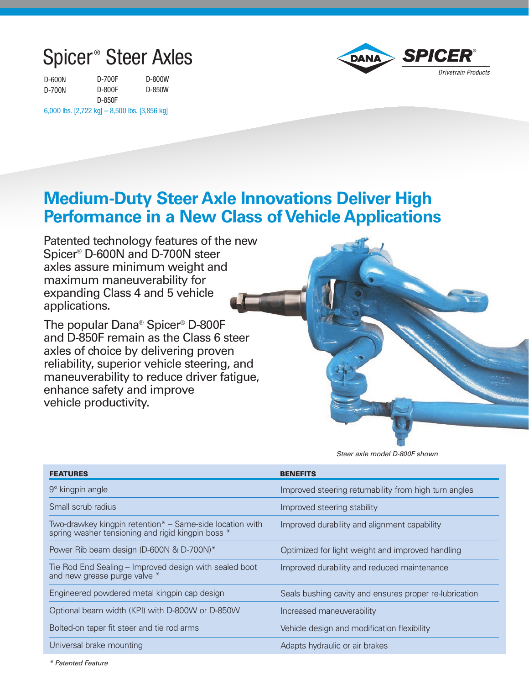## Spicer ® Steer Axles

| D-600N | D-700F | D-800W |
|--------|--------|--------|
| D-700N | D-800F | D-850W |
|        | D-850F |        |

6,000 lbs. [2,722 kg] – 8,500 lbs. [3,856 kg]



## **Medium-Duty Steer Axle Innovations Deliver High Performance in a New Class of Vehicle Applications**

Patented technology features of the new Spicer ® D-600N and D-700N steer axles assure minimum weight and maximum maneuverability for expanding Class 4 and 5 vehicle applications.

The popular Dana® Spicer ® D-800F and D-850F remain as the Class 6 steer axles of choice by delivering proven reliability, superior vehicle steering, and maneuverability to reduce driver fatigue, enhance safety and improve vehicle productivity.

Steer axle model D-800F shown

| <b>FEATURES</b>                                                                                               | <b>BENEFITS</b>                                        |
|---------------------------------------------------------------------------------------------------------------|--------------------------------------------------------|
|                                                                                                               |                                                        |
| $9^\circ$ kingpin angle                                                                                       | Improved steering returnability from high turn angles  |
| Small scrub radius                                                                                            | Improved steering stability                            |
| Two-drawkey kingpin retention* – Same-side location with<br>spring washer tensioning and rigid kingpin boss * | Improved durability and alignment capability           |
| Power Rib beam design (D-600N & D-700N)*                                                                      | Optimized for light weight and improved handling       |
| Tie Rod End Sealing – Improved design with sealed boot<br>and new grease purge valve *                        | Improved durability and reduced maintenance            |
| Engineered powdered metal kingpin cap design                                                                  | Seals bushing cavity and ensures proper re-lubrication |
| Optional beam width (KPI) with D-800W or D-850W                                                               | Increased maneuverability                              |
| Bolted-on taper fit steer and tie rod arms                                                                    | Vehicle design and modification flexibility            |
| Universal brake mounting                                                                                      | Adapts hydraulic or air brakes                         |

\* Patented Feature